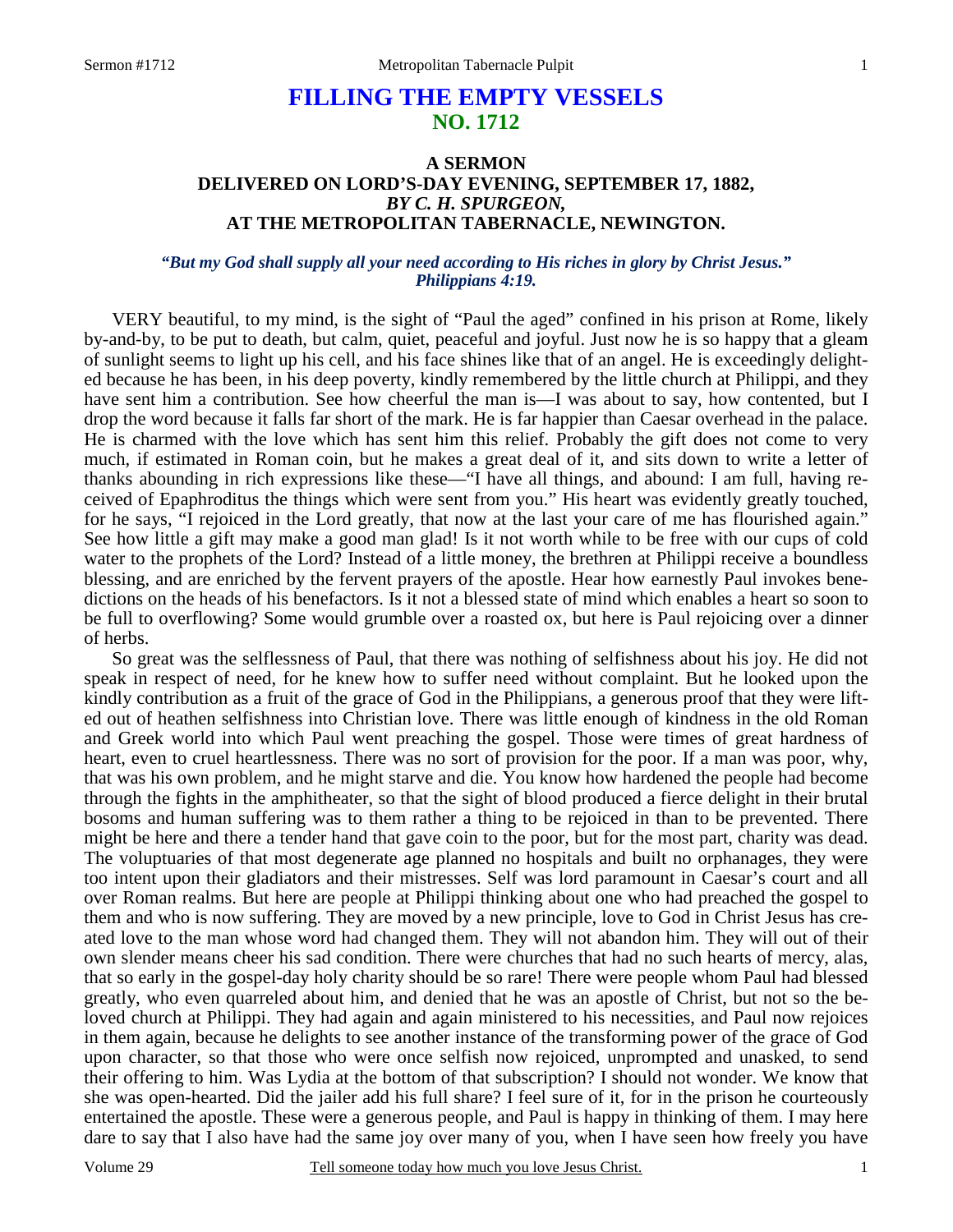# **FILLING THE EMPTY VESSELS NO. 1712**

## **A SERMON DELIVERED ON LORD'S-DAY EVENING, SEPTEMBER 17, 1882,**  *BY C. H. SPURGEON,*  **AT THE METROPOLITAN TABERNACLE, NEWINGTON.**

## *"But my God shall supply all your need according to His riches in glory by Christ Jesus." Philippians 4:19.*

VERY beautiful, to my mind, is the sight of "Paul the aged" confined in his prison at Rome, likely by-and-by, to be put to death, but calm, quiet, peaceful and joyful. Just now he is so happy that a gleam of sunlight seems to light up his cell, and his face shines like that of an angel. He is exceedingly delighted because he has been, in his deep poverty, kindly remembered by the little church at Philippi, and they have sent him a contribution. See how cheerful the man is—I was about to say, how contented, but I drop the word because it falls far short of the mark. He is far happier than Caesar overhead in the palace. He is charmed with the love which has sent him this relief. Probably the gift does not come to very much, if estimated in Roman coin, but he makes a great deal of it, and sits down to write a letter of thanks abounding in rich expressions like these—"I have all things, and abound: I am full, having received of Epaphroditus the things which were sent from you." His heart was evidently greatly touched, for he says, "I rejoiced in the Lord greatly, that now at the last your care of me has flourished again." See how little a gift may make a good man glad! Is it not worth while to be free with our cups of cold water to the prophets of the Lord? Instead of a little money, the brethren at Philippi receive a boundless blessing, and are enriched by the fervent prayers of the apostle. Hear how earnestly Paul invokes benedictions on the heads of his benefactors. Is it not a blessed state of mind which enables a heart so soon to be full to overflowing? Some would grumble over a roasted ox, but here is Paul rejoicing over a dinner of herbs.

 So great was the selflessness of Paul, that there was nothing of selfishness about his joy. He did not speak in respect of need, for he knew how to suffer need without complaint. But he looked upon the kindly contribution as a fruit of the grace of God in the Philippians, a generous proof that they were lifted out of heathen selfishness into Christian love. There was little enough of kindness in the old Roman and Greek world into which Paul went preaching the gospel. Those were times of great hardness of heart, even to cruel heartlessness. There was no sort of provision for the poor. If a man was poor, why, that was his own problem, and he might starve and die. You know how hardened the people had become through the fights in the amphitheater, so that the sight of blood produced a fierce delight in their brutal bosoms and human suffering was to them rather a thing to be rejoiced in than to be prevented. There might be here and there a tender hand that gave coin to the poor, but for the most part, charity was dead. The voluptuaries of that most degenerate age planned no hospitals and built no orphanages, they were too intent upon their gladiators and their mistresses. Self was lord paramount in Caesar's court and all over Roman realms. But here are people at Philippi thinking about one who had preached the gospel to them and who is now suffering. They are moved by a new principle, love to God in Christ Jesus has created love to the man whose word had changed them. They will not abandon him. They will out of their own slender means cheer his sad condition. There were churches that had no such hearts of mercy, alas, that so early in the gospel-day holy charity should be so rare! There were people whom Paul had blessed greatly, who even quarreled about him, and denied that he was an apostle of Christ, but not so the beloved church at Philippi. They had again and again ministered to his necessities, and Paul now rejoices in them again, because he delights to see another instance of the transforming power of the grace of God upon character, so that those who were once selfish now rejoiced, unprompted and unasked, to send their offering to him. Was Lydia at the bottom of that subscription? I should not wonder. We know that she was open-hearted. Did the jailer add his full share? I feel sure of it, for in the prison he courteously entertained the apostle. These were a generous people, and Paul is happy in thinking of them. I may here dare to say that I also have had the same joy over many of you, when I have seen how freely you have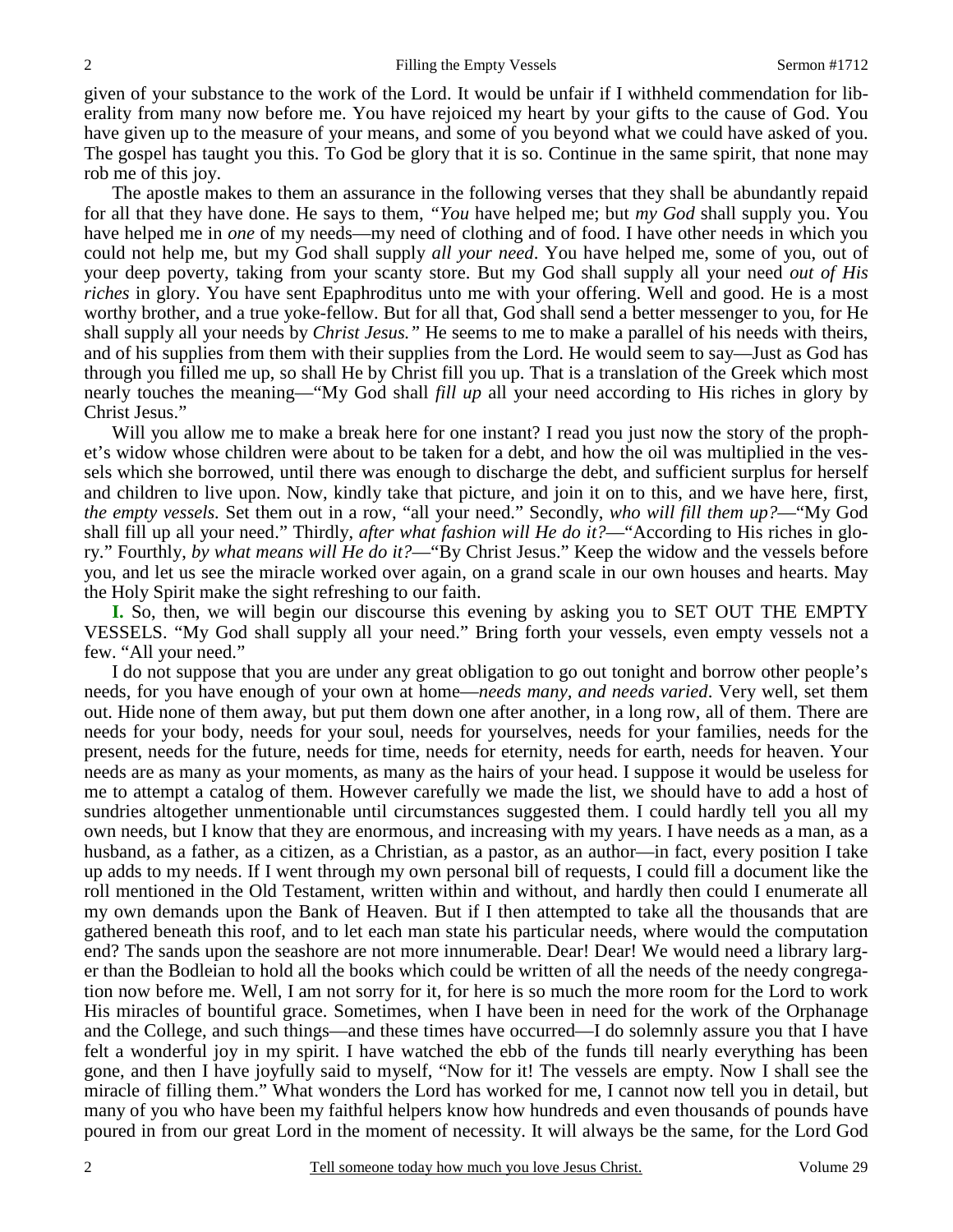given of your substance to the work of the Lord. It would be unfair if I withheld commendation for liberality from many now before me. You have rejoiced my heart by your gifts to the cause of God. You have given up to the measure of your means, and some of you beyond what we could have asked of you. The gospel has taught you this. To God be glory that it is so. Continue in the same spirit, that none may rob me of this joy.

 The apostle makes to them an assurance in the following verses that they shall be abundantly repaid for all that they have done. He says to them, *"You* have helped me; but *my God* shall supply you. You have helped me in *one* of my needs—my need of clothing and of food. I have other needs in which you could not help me, but my God shall supply *all your need*. You have helped me, some of you, out of your deep poverty, taking from your scanty store. But my God shall supply all your need *out of His riches* in glory. You have sent Epaphroditus unto me with your offering. Well and good. He is a most worthy brother, and a true yoke-fellow. But for all that, God shall send a better messenger to you, for He shall supply all your needs by *Christ Jesus."* He seems to me to make a parallel of his needs with theirs, and of his supplies from them with their supplies from the Lord. He would seem to say—Just as God has through you filled me up, so shall He by Christ fill you up. That is a translation of the Greek which most nearly touches the meaning—"My God shall *fill up* all your need according to His riches in glory by Christ Jesus."

Will you allow me to make a break here for one instant? I read you just now the story of the prophet's widow whose children were about to be taken for a debt, and how the oil was multiplied in the vessels which she borrowed, until there was enough to discharge the debt, and sufficient surplus for herself and children to live upon. Now, kindly take that picture, and join it on to this, and we have here, first, *the empty vessels.* Set them out in a row, "all your need." Secondly, *who will fill them up?*—"My God shall fill up all your need." Thirdly, *after what fashion will He do it?*—"According to His riches in glory." Fourthly, *by what means will He do it?*—"By Christ Jesus." Keep the widow and the vessels before you, and let us see the miracle worked over again, on a grand scale in our own houses and hearts. May the Holy Spirit make the sight refreshing to our faith.

**I.** So, then, we will begin our discourse this evening by asking you to SET OUT THE EMPTY VESSELS. "My God shall supply all your need." Bring forth your vessels, even empty vessels not a few. "All your need."

 I do not suppose that you are under any great obligation to go out tonight and borrow other people's needs, for you have enough of your own at home—*needs many, and needs varied*. Very well, set them out. Hide none of them away, but put them down one after another, in a long row, all of them. There are needs for your body, needs for your soul, needs for yourselves, needs for your families, needs for the present, needs for the future, needs for time, needs for eternity, needs for earth, needs for heaven. Your needs are as many as your moments, as many as the hairs of your head. I suppose it would be useless for me to attempt a catalog of them. However carefully we made the list, we should have to add a host of sundries altogether unmentionable until circumstances suggested them. I could hardly tell you all my own needs, but I know that they are enormous, and increasing with my years. I have needs as a man, as a husband, as a father, as a citizen, as a Christian, as a pastor, as an author—in fact, every position I take up adds to my needs. If I went through my own personal bill of requests, I could fill a document like the roll mentioned in the Old Testament, written within and without, and hardly then could I enumerate all my own demands upon the Bank of Heaven. But if I then attempted to take all the thousands that are gathered beneath this roof, and to let each man state his particular needs, where would the computation end? The sands upon the seashore are not more innumerable. Dear! Dear! We would need a library larger than the Bodleian to hold all the books which could be written of all the needs of the needy congregation now before me. Well, I am not sorry for it, for here is so much the more room for the Lord to work His miracles of bountiful grace. Sometimes, when I have been in need for the work of the Orphanage and the College, and such things—and these times have occurred—I do solemnly assure you that I have felt a wonderful joy in my spirit. I have watched the ebb of the funds till nearly everything has been gone, and then I have joyfully said to myself, "Now for it! The vessels are empty. Now I shall see the miracle of filling them." What wonders the Lord has worked for me, I cannot now tell you in detail, but many of you who have been my faithful helpers know how hundreds and even thousands of pounds have poured in from our great Lord in the moment of necessity. It will always be the same, for the Lord God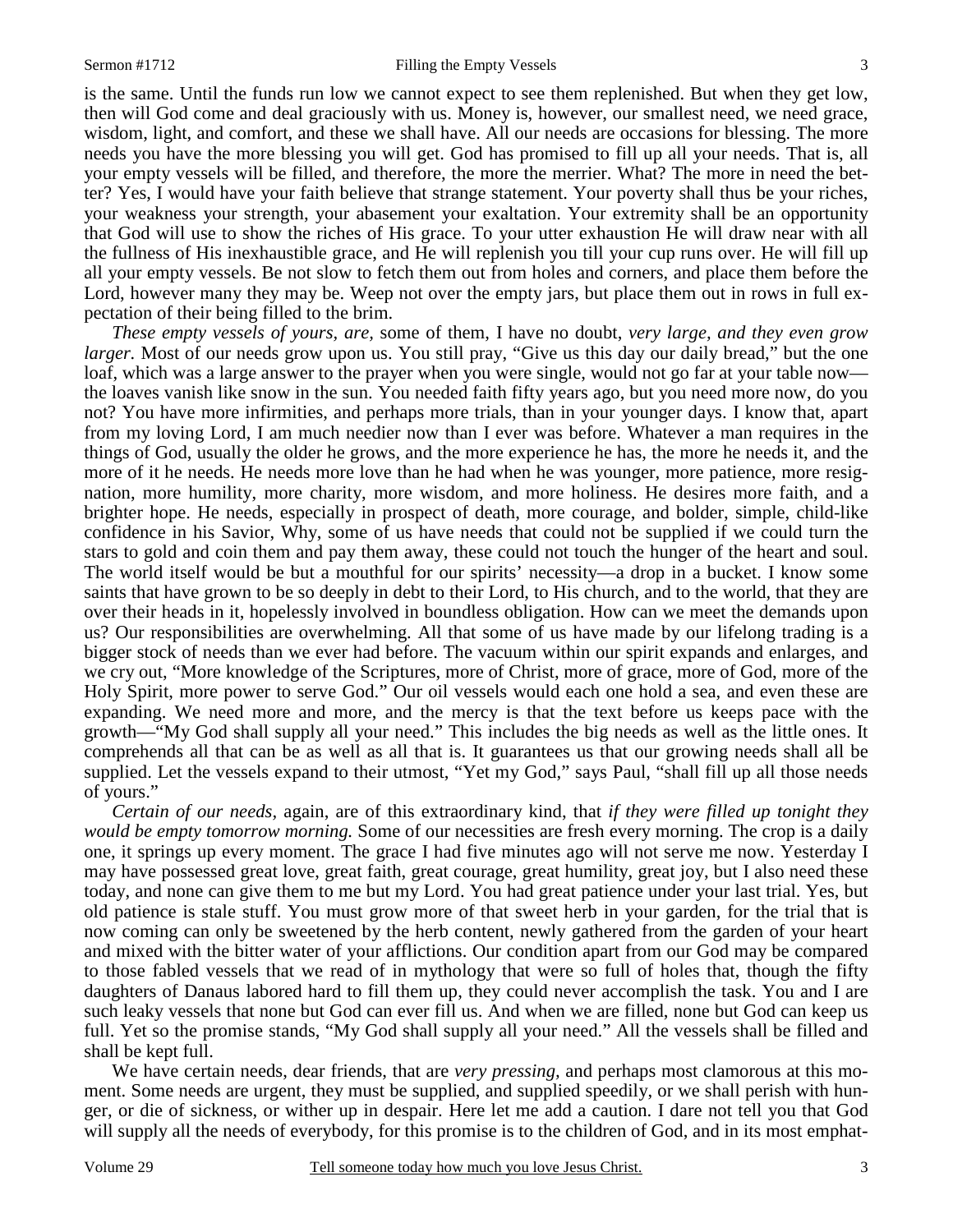is the same. Until the funds run low we cannot expect to see them replenished. But when they get low, then will God come and deal graciously with us. Money is, however, our smallest need, we need grace, wisdom, light, and comfort, and these we shall have. All our needs are occasions for blessing. The more needs you have the more blessing you will get. God has promised to fill up all your needs. That is, all your empty vessels will be filled, and therefore, the more the merrier. What? The more in need the better? Yes, I would have your faith believe that strange statement. Your poverty shall thus be your riches, your weakness your strength, your abasement your exaltation. Your extremity shall be an opportunity that God will use to show the riches of His grace. To your utter exhaustion He will draw near with all the fullness of His inexhaustible grace, and He will replenish you till your cup runs over. He will fill up all your empty vessels. Be not slow to fetch them out from holes and corners, and place them before the Lord, however many they may be. Weep not over the empty jars, but place them out in rows in full expectation of their being filled to the brim.

*These empty vessels of yours, are,* some of them, I have no doubt, *very large, and they even grow larger*. Most of our needs grow upon us. You still pray, "Give us this day our daily bread," but the one loaf, which was a large answer to the prayer when you were single, would not go far at your table now the loaves vanish like snow in the sun. You needed faith fifty years ago, but you need more now, do you not? You have more infirmities, and perhaps more trials, than in your younger days. I know that, apart from my loving Lord, I am much needier now than I ever was before. Whatever a man requires in the things of God, usually the older he grows, and the more experience he has, the more he needs it, and the more of it he needs. He needs more love than he had when he was younger, more patience, more resignation, more humility, more charity, more wisdom, and more holiness. He desires more faith, and a brighter hope. He needs, especially in prospect of death, more courage, and bolder, simple, child-like confidence in his Savior, Why, some of us have needs that could not be supplied if we could turn the stars to gold and coin them and pay them away, these could not touch the hunger of the heart and soul. The world itself would be but a mouthful for our spirits' necessity—a drop in a bucket. I know some saints that have grown to be so deeply in debt to their Lord, to His church, and to the world, that they are over their heads in it, hopelessly involved in boundless obligation. How can we meet the demands upon us? Our responsibilities are overwhelming. All that some of us have made by our lifelong trading is a bigger stock of needs than we ever had before. The vacuum within our spirit expands and enlarges, and we cry out, "More knowledge of the Scriptures, more of Christ, more of grace, more of God, more of the Holy Spirit, more power to serve God." Our oil vessels would each one hold a sea, and even these are expanding. We need more and more, and the mercy is that the text before us keeps pace with the growth—"My God shall supply all your need." This includes the big needs as well as the little ones. It comprehends all that can be as well as all that is. It guarantees us that our growing needs shall all be supplied. Let the vessels expand to their utmost, "Yet my God," says Paul, "shall fill up all those needs of yours."

*Certain of our needs,* again, are of this extraordinary kind, that *if they were filled up tonight they would be empty tomorrow morning.* Some of our necessities are fresh every morning. The crop is a daily one, it springs up every moment. The grace I had five minutes ago will not serve me now. Yesterday I may have possessed great love, great faith, great courage, great humility, great joy, but I also need these today, and none can give them to me but my Lord. You had great patience under your last trial. Yes, but old patience is stale stuff. You must grow more of that sweet herb in your garden, for the trial that is now coming can only be sweetened by the herb content, newly gathered from the garden of your heart and mixed with the bitter water of your afflictions. Our condition apart from our God may be compared to those fabled vessels that we read of in mythology that were so full of holes that, though the fifty daughters of Danaus labored hard to fill them up, they could never accomplish the task. You and I are such leaky vessels that none but God can ever fill us. And when we are filled, none but God can keep us full. Yet so the promise stands, "My God shall supply all your need." All the vessels shall be filled and shall be kept full.

 We have certain needs, dear friends, that are *very pressing,* and perhaps most clamorous at this moment. Some needs are urgent, they must be supplied, and supplied speedily, or we shall perish with hunger, or die of sickness, or wither up in despair. Here let me add a caution. I dare not tell you that God will supply all the needs of everybody, for this promise is to the children of God, and in its most emphat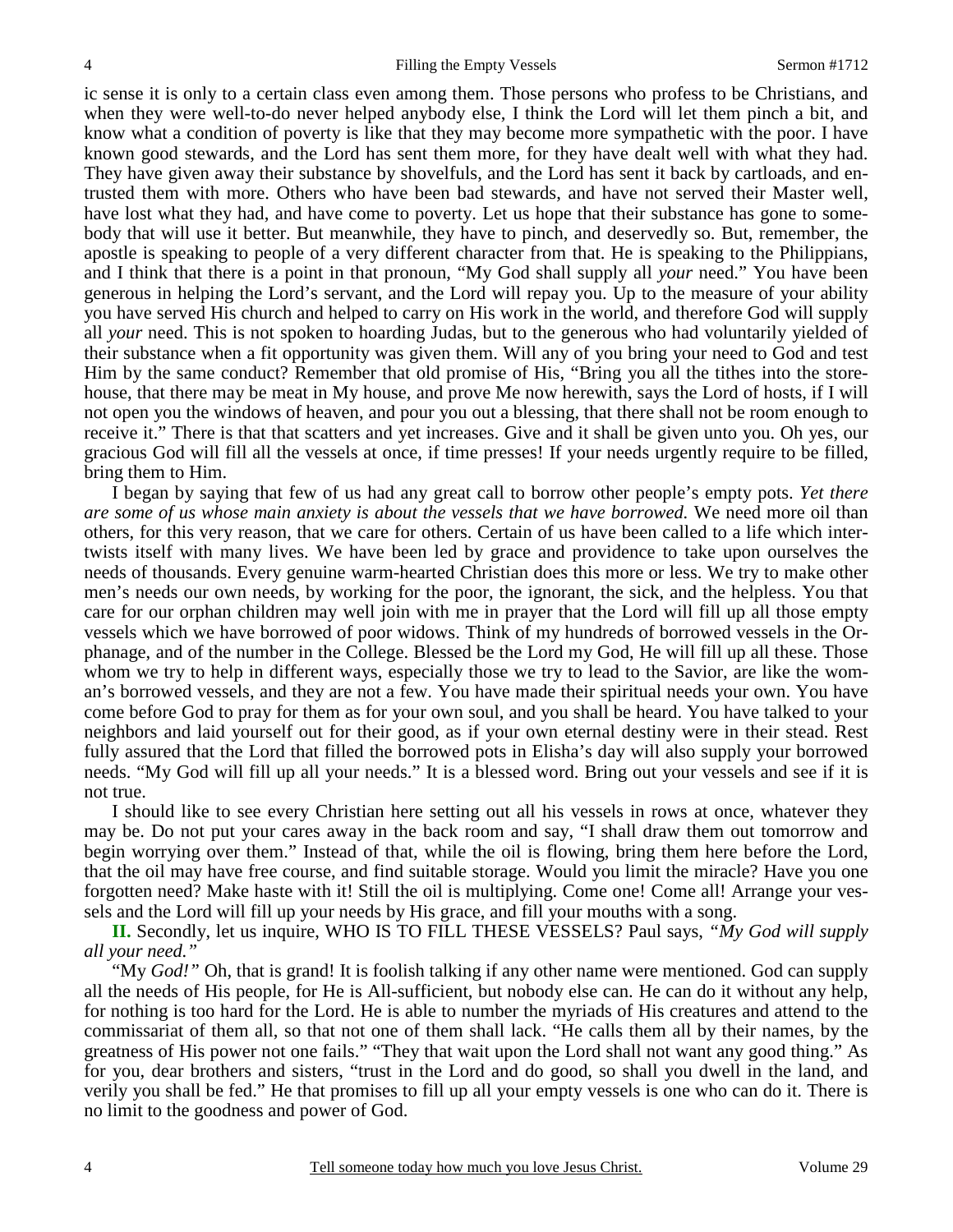ic sense it is only to a certain class even among them. Those persons who profess to be Christians, and when they were well-to-do never helped anybody else, I think the Lord will let them pinch a bit, and know what a condition of poverty is like that they may become more sympathetic with the poor. I have known good stewards, and the Lord has sent them more, for they have dealt well with what they had. They have given away their substance by shovelfuls, and the Lord has sent it back by cartloads, and entrusted them with more. Others who have been bad stewards, and have not served their Master well, have lost what they had, and have come to poverty. Let us hope that their substance has gone to somebody that will use it better. But meanwhile, they have to pinch, and deservedly so. But, remember, the apostle is speaking to people of a very different character from that. He is speaking to the Philippians, and I think that there is a point in that pronoun, "My God shall supply all *your* need." You have been generous in helping the Lord's servant, and the Lord will repay you. Up to the measure of your ability you have served His church and helped to carry on His work in the world, and therefore God will supply all *your* need. This is not spoken to hoarding Judas, but to the generous who had voluntarily yielded of their substance when a fit opportunity was given them. Will any of you bring your need to God and test Him by the same conduct? Remember that old promise of His, "Bring you all the tithes into the storehouse, that there may be meat in My house, and prove Me now herewith, says the Lord of hosts, if I will not open you the windows of heaven, and pour you out a blessing, that there shall not be room enough to receive it." There is that that scatters and yet increases. Give and it shall be given unto you. Oh yes, our gracious God will fill all the vessels at once, if time presses! If your needs urgently require to be filled, bring them to Him.

 I began by saying that few of us had any great call to borrow other people's empty pots. *Yet there are some of us whose main anxiety is about the vessels that we have borrowed.* We need more oil than others, for this very reason, that we care for others. Certain of us have been called to a life which intertwists itself with many lives. We have been led by grace and providence to take upon ourselves the needs of thousands. Every genuine warm-hearted Christian does this more or less. We try to make other men's needs our own needs, by working for the poor, the ignorant, the sick, and the helpless. You that care for our orphan children may well join with me in prayer that the Lord will fill up all those empty vessels which we have borrowed of poor widows. Think of my hundreds of borrowed vessels in the Orphanage, and of the number in the College. Blessed be the Lord my God, He will fill up all these. Those whom we try to help in different ways, especially those we try to lead to the Savior, are like the woman's borrowed vessels, and they are not a few. You have made their spiritual needs your own. You have come before God to pray for them as for your own soul, and you shall be heard. You have talked to your neighbors and laid yourself out for their good, as if your own eternal destiny were in their stead. Rest fully assured that the Lord that filled the borrowed pots in Elisha's day will also supply your borrowed needs. "My God will fill up all your needs." It is a blessed word. Bring out your vessels and see if it is not true.

 I should like to see every Christian here setting out all his vessels in rows at once, whatever they may be. Do not put your cares away in the back room and say, "I shall draw them out tomorrow and begin worrying over them." Instead of that, while the oil is flowing, bring them here before the Lord, that the oil may have free course, and find suitable storage. Would you limit the miracle? Have you one forgotten need? Make haste with it! Still the oil is multiplying. Come one! Come all! Arrange your vessels and the Lord will fill up your needs by His grace, and fill your mouths with a song.

**II.** Secondly, let us inquire, WHO IS TO FILL THESE VESSELS? Paul says, *"My God will supply all your need."*

 "My *God!"* Oh, that is grand! It is foolish talking if any other name were mentioned. God can supply all the needs of His people, for He is All-sufficient, but nobody else can. He can do it without any help, for nothing is too hard for the Lord. He is able to number the myriads of His creatures and attend to the commissariat of them all, so that not one of them shall lack. "He calls them all by their names, by the greatness of His power not one fails." "They that wait upon the Lord shall not want any good thing." As for you, dear brothers and sisters, "trust in the Lord and do good, so shall you dwell in the land, and verily you shall be fed." He that promises to fill up all your empty vessels is one who can do it. There is no limit to the goodness and power of God.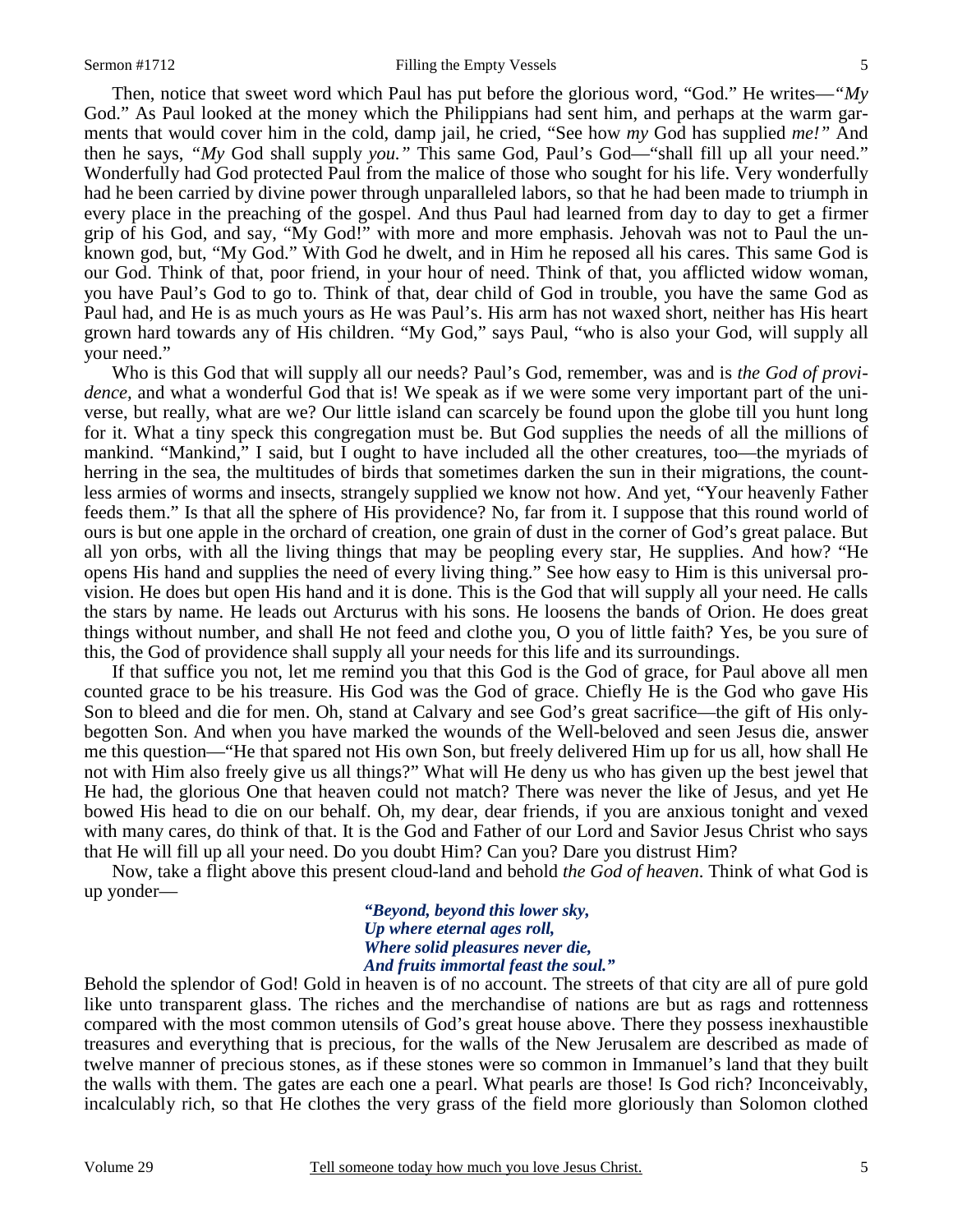#### Sermon #1712 **Filling the Empty Vessels** 5

 Then, notice that sweet word which Paul has put before the glorious word, "God." He writes—*"My* God." As Paul looked at the money which the Philippians had sent him, and perhaps at the warm garments that would cover him in the cold, damp jail, he cried, "See how *my* God has supplied *me!"* And then he says, *"My* God shall supply *you."* This same God, Paul's God—"shall fill up all your need." Wonderfully had God protected Paul from the malice of those who sought for his life. Very wonderfully had he been carried by divine power through unparalleled labors, so that he had been made to triumph in every place in the preaching of the gospel. And thus Paul had learned from day to day to get a firmer grip of his God, and say, "My God!" with more and more emphasis. Jehovah was not to Paul the unknown god, but, "My God." With God he dwelt, and in Him he reposed all his cares. This same God is our God. Think of that, poor friend, in your hour of need. Think of that, you afflicted widow woman, you have Paul's God to go to. Think of that, dear child of God in trouble, you have the same God as Paul had, and He is as much yours as He was Paul's. His arm has not waxed short, neither has His heart grown hard towards any of His children. "My God," says Paul, "who is also your God, will supply all your need."

 Who is this God that will supply all our needs? Paul's God, remember, was and is *the God of providence,* and what a wonderful God that is! We speak as if we were some very important part of the universe, but really, what are we? Our little island can scarcely be found upon the globe till you hunt long for it. What a tiny speck this congregation must be. But God supplies the needs of all the millions of mankind. "Mankind," I said, but I ought to have included all the other creatures, too—the myriads of herring in the sea, the multitudes of birds that sometimes darken the sun in their migrations, the countless armies of worms and insects, strangely supplied we know not how. And yet, "Your heavenly Father feeds them." Is that all the sphere of His providence? No, far from it. I suppose that this round world of ours is but one apple in the orchard of creation, one grain of dust in the corner of God's great palace. But all yon orbs, with all the living things that may be peopling every star, He supplies. And how? "He opens His hand and supplies the need of every living thing." See how easy to Him is this universal provision. He does but open His hand and it is done. This is the God that will supply all your need. He calls the stars by name. He leads out Arcturus with his sons. He loosens the bands of Orion. He does great things without number, and shall He not feed and clothe you, O you of little faith? Yes, be you sure of this, the God of providence shall supply all your needs for this life and its surroundings.

 If that suffice you not, let me remind you that this God is the God of grace, for Paul above all men counted grace to be his treasure. His God was the God of grace. Chiefly He is the God who gave His Son to bleed and die for men. Oh, stand at Calvary and see God's great sacrifice—the gift of His onlybegotten Son. And when you have marked the wounds of the Well-beloved and seen Jesus die, answer me this question—"He that spared not His own Son, but freely delivered Him up for us all, how shall He not with Him also freely give us all things?" What will He deny us who has given up the best jewel that He had, the glorious One that heaven could not match? There was never the like of Jesus, and yet He bowed His head to die on our behalf. Oh, my dear, dear friends, if you are anxious tonight and vexed with many cares, do think of that. It is the God and Father of our Lord and Savior Jesus Christ who says that He will fill up all your need. Do you doubt Him? Can you? Dare you distrust Him?

 Now, take a flight above this present cloud-land and behold *the God of heaven*. Think of what God is up yonder—

> *"Beyond, beyond this lower sky, Up where eternal ages roll, Where solid pleasures never die, And fruits immortal feast the soul."*

Behold the splendor of God! Gold in heaven is of no account. The streets of that city are all of pure gold like unto transparent glass. The riches and the merchandise of nations are but as rags and rottenness compared with the most common utensils of God's great house above. There they possess inexhaustible treasures and everything that is precious, for the walls of the New Jerusalem are described as made of twelve manner of precious stones, as if these stones were so common in Immanuel's land that they built the walls with them. The gates are each one a pearl. What pearls are those! Is God rich? Inconceivably, incalculably rich, so that He clothes the very grass of the field more gloriously than Solomon clothed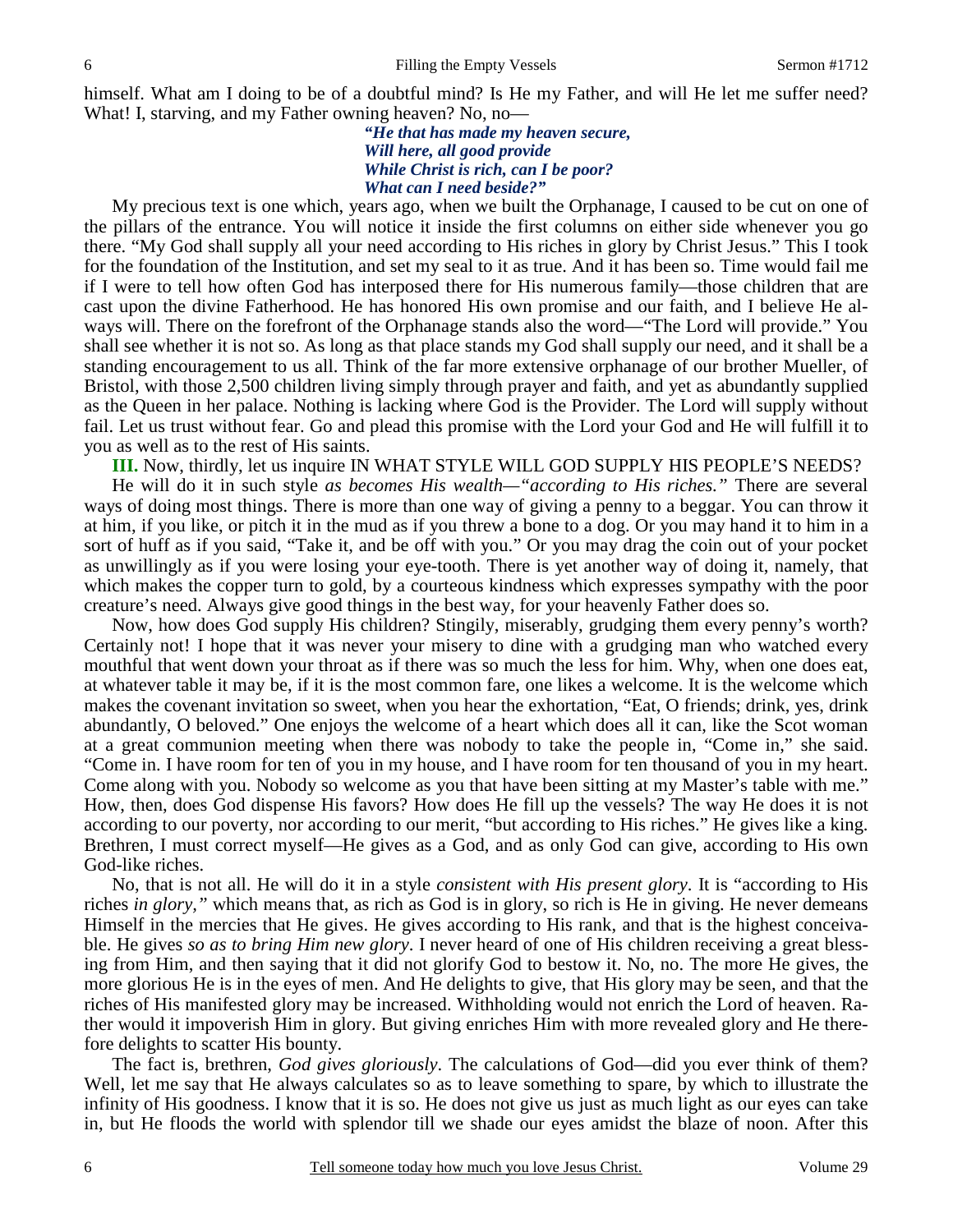himself. What am I doing to be of a doubtful mind? Is He my Father, and will He let me suffer need? What! I, starving, and my Father owning heaven? No, no—

> *"He that has made my heaven secure, Will here, all good provide While Christ is rich, can I be poor? What can I need beside?"*

 My precious text is one which, years ago, when we built the Orphanage, I caused to be cut on one of the pillars of the entrance. You will notice it inside the first columns on either side whenever you go there. "My God shall supply all your need according to His riches in glory by Christ Jesus." This I took for the foundation of the Institution, and set my seal to it as true. And it has been so. Time would fail me if I were to tell how often God has interposed there for His numerous family—those children that are cast upon the divine Fatherhood. He has honored His own promise and our faith, and I believe He always will. There on the forefront of the Orphanage stands also the word—"The Lord will provide." You shall see whether it is not so. As long as that place stands my God shall supply our need, and it shall be a standing encouragement to us all. Think of the far more extensive orphanage of our brother Mueller, of Bristol, with those 2,500 children living simply through prayer and faith, and yet as abundantly supplied as the Queen in her palace. Nothing is lacking where God is the Provider. The Lord will supply without fail. Let us trust without fear. Go and plead this promise with the Lord your God and He will fulfill it to you as well as to the rest of His saints.

**III.** Now, thirdly, let us inquire IN WHAT STYLE WILL GOD SUPPLY HIS PEOPLE'S NEEDS?

 He will do it in such style *as becomes His wealth—"according to His riches."* There are several ways of doing most things. There is more than one way of giving a penny to a beggar. You can throw it at him, if you like, or pitch it in the mud as if you threw a bone to a dog. Or you may hand it to him in a sort of huff as if you said, "Take it, and be off with you." Or you may drag the coin out of your pocket as unwillingly as if you were losing your eye-tooth. There is yet another way of doing it, namely, that which makes the copper turn to gold, by a courteous kindness which expresses sympathy with the poor creature's need. Always give good things in the best way, for your heavenly Father does so.

 Now, how does God supply His children? Stingily, miserably, grudging them every penny's worth? Certainly not! I hope that it was never your misery to dine with a grudging man who watched every mouthful that went down your throat as if there was so much the less for him. Why, when one does eat, at whatever table it may be, if it is the most common fare, one likes a welcome. It is the welcome which makes the covenant invitation so sweet, when you hear the exhortation, "Eat, O friends; drink, yes, drink abundantly, O beloved." One enjoys the welcome of a heart which does all it can, like the Scot woman at a great communion meeting when there was nobody to take the people in, "Come in," she said. "Come in. I have room for ten of you in my house, and I have room for ten thousand of you in my heart. Come along with you. Nobody so welcome as you that have been sitting at my Master's table with me." How, then, does God dispense His favors? How does He fill up the vessels? The way He does it is not according to our poverty, nor according to our merit, "but according to His riches." He gives like a king. Brethren, I must correct myself—He gives as a God, and as only God can give, according to His own God-like riches.

 No, that is not all. He will do it in a style *consistent with His present glory*. It is "according to His riches *in glory,"* which means that, as rich as God is in glory, so rich is He in giving. He never demeans Himself in the mercies that He gives. He gives according to His rank, and that is the highest conceivable. He gives *so as to bring Him new glory*. I never heard of one of His children receiving a great blessing from Him, and then saying that it did not glorify God to bestow it. No, no. The more He gives, the more glorious He is in the eyes of men. And He delights to give, that His glory may be seen, and that the riches of His manifested glory may be increased. Withholding would not enrich the Lord of heaven. Rather would it impoverish Him in glory. But giving enriches Him with more revealed glory and He therefore delights to scatter His bounty.

 The fact is, brethren, *God gives gloriously*. The calculations of God—did you ever think of them? Well, let me say that He always calculates so as to leave something to spare, by which to illustrate the infinity of His goodness. I know that it is so. He does not give us just as much light as our eyes can take in, but He floods the world with splendor till we shade our eyes amidst the blaze of noon. After this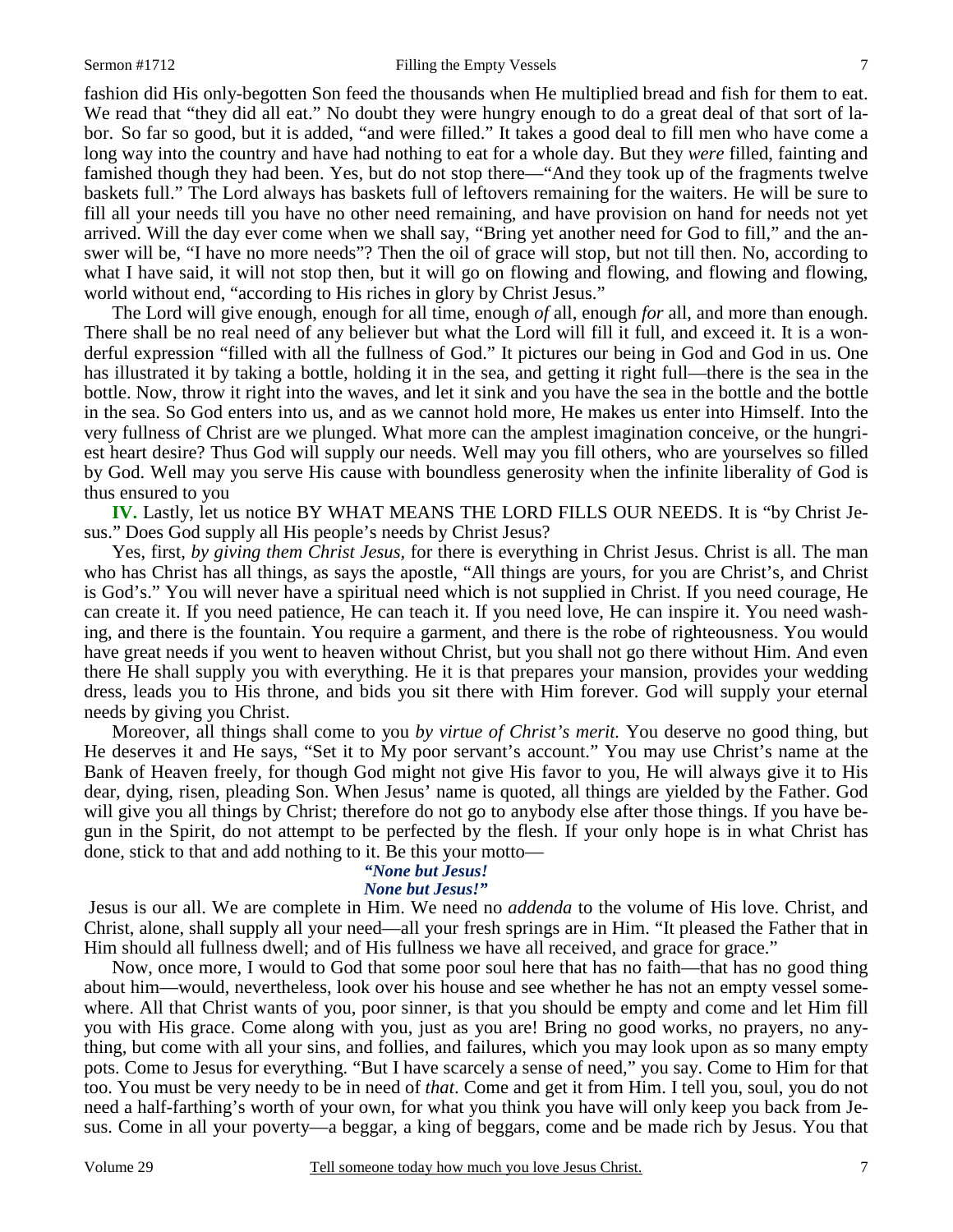#### Sermon #1712 Filling the Empty Vessels 7

fashion did His only-begotten Son feed the thousands when He multiplied bread and fish for them to eat. We read that "they did all eat." No doubt they were hungry enough to do a great deal of that sort of labor. So far so good, but it is added, "and were filled." It takes a good deal to fill men who have come a long way into the country and have had nothing to eat for a whole day. But they *were* filled, fainting and famished though they had been. Yes, but do not stop there—"And they took up of the fragments twelve baskets full." The Lord always has baskets full of leftovers remaining for the waiters. He will be sure to fill all your needs till you have no other need remaining, and have provision on hand for needs not yet arrived. Will the day ever come when we shall say, "Bring yet another need for God to fill," and the answer will be, "I have no more needs"? Then the oil of grace will stop, but not till then. No, according to what I have said, it will not stop then, but it will go on flowing and flowing, and flowing and flowing, world without end, "according to His riches in glory by Christ Jesus."

 The Lord will give enough, enough for all time, enough *of* all, enough *for* all, and more than enough. There shall be no real need of any believer but what the Lord will fill it full, and exceed it. It is a wonderful expression "filled with all the fullness of God." It pictures our being in God and God in us. One has illustrated it by taking a bottle, holding it in the sea, and getting it right full—there is the sea in the bottle. Now, throw it right into the waves, and let it sink and you have the sea in the bottle and the bottle in the sea. So God enters into us, and as we cannot hold more, He makes us enter into Himself. Into the very fullness of Christ are we plunged. What more can the amplest imagination conceive, or the hungriest heart desire? Thus God will supply our needs. Well may you fill others, who are yourselves so filled by God. Well may you serve His cause with boundless generosity when the infinite liberality of God is thus ensured to you

**IV.** Lastly, let us notice BY WHAT MEANS THE LORD FILLS OUR NEEDS. It is "by Christ Jesus." Does God supply all His people's needs by Christ Jesus?

 Yes, first, *by giving them Christ Jesus,* for there is everything in Christ Jesus. Christ is all. The man who has Christ has all things, as says the apostle, "All things are yours, for you are Christ's, and Christ is God's." You will never have a spiritual need which is not supplied in Christ. If you need courage, He can create it. If you need patience, He can teach it. If you need love, He can inspire it. You need washing, and there is the fountain. You require a garment, and there is the robe of righteousness. You would have great needs if you went to heaven without Christ, but you shall not go there without Him. And even there He shall supply you with everything. He it is that prepares your mansion, provides your wedding dress, leads you to His throne, and bids you sit there with Him forever. God will supply your eternal needs by giving you Christ.

 Moreover, all things shall come to you *by virtue of Christ's merit.* You deserve no good thing, but He deserves it and He says, "Set it to My poor servant's account." You may use Christ's name at the Bank of Heaven freely, for though God might not give His favor to you, He will always give it to His dear, dying, risen, pleading Son. When Jesus' name is quoted, all things are yielded by the Father. God will give you all things by Christ; therefore do not go to anybody else after those things. If you have begun in the Spirit, do not attempt to be perfected by the flesh. If your only hope is in what Christ has done, stick to that and add nothing to it. Be this your motto—

### *"None but Jesus!*

### *None but Jesus!"*

Jesus is our all. We are complete in Him. We need no *addenda* to the volume of His love. Christ, and Christ, alone, shall supply all your need—all your fresh springs are in Him. "It pleased the Father that in Him should all fullness dwell; and of His fullness we have all received, and grace for grace."

 Now, once more, I would to God that some poor soul here that has no faith—that has no good thing about him—would, nevertheless, look over his house and see whether he has not an empty vessel somewhere. All that Christ wants of you, poor sinner, is that you should be empty and come and let Him fill you with His grace. Come along with you, just as you are! Bring no good works, no prayers, no anything, but come with all your sins, and follies, and failures, which you may look upon as so many empty pots. Come to Jesus for everything. "But I have scarcely a sense of need," you say. Come to Him for that too. You must be very needy to be in need of *that*. Come and get it from Him. I tell you, soul, you do not need a half-farthing's worth of your own, for what you think you have will only keep you back from Jesus. Come in all your poverty—a beggar, a king of beggars, come and be made rich by Jesus. You that